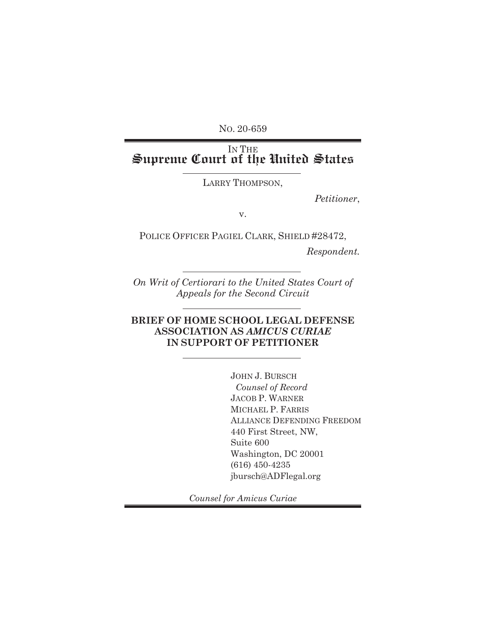NO. 20-659

## IN THE **Supreme Court of the United States**

LARRY THOMPSON,

*Petitioner*,

v.

POLICE OFFICER PAGIEL CLARK, SHIELD #28472,

*Respondent.*

*On Writ of Certiorari to the United States Court of Appeals for the Second Circuit*

## **BRIEF OF HOME SCHOOL LEGAL DEFENSE ASSOCIATION AS** *AMICUS CURIAE* **IN SUPPORT OF PETITIONER**

JOHN J. BURSCH *Counsel of Record*  JACOB P. WARNER MICHAEL P. FARRIS ALLIANCE DEFENDING FREEDOM 440 First Street, NW, Suite 600 Washington, DC 20001 (616) 450-4235 jbursch@ADFlegal.org

*Counsel for Amicus Curiae*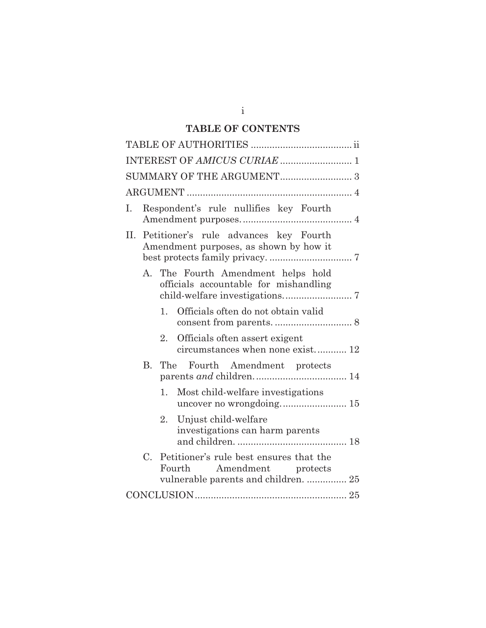## **TABLE OF CONTENTS**

| INTEREST OF AMICUS CURIAE  1                                                                                                |  |  |  |  |  |
|-----------------------------------------------------------------------------------------------------------------------------|--|--|--|--|--|
|                                                                                                                             |  |  |  |  |  |
|                                                                                                                             |  |  |  |  |  |
| Respondent's rule nullifies key Fourth                                                                                      |  |  |  |  |  |
| Petitioner's rule advances key Fourth<br>Н.<br>Amendment purposes, as shown by how it                                       |  |  |  |  |  |
| A. The Fourth Amendment helps hold<br>officials accountable for mishandling                                                 |  |  |  |  |  |
| Officials often do not obtain valid<br>1.                                                                                   |  |  |  |  |  |
| 2.<br>Officials often assert exigent<br>circumstances when none exist 12                                                    |  |  |  |  |  |
| $B_{\cdot}$<br>The Fourth Amendment protects                                                                                |  |  |  |  |  |
| 1. Most child-welfare investigations                                                                                        |  |  |  |  |  |
| Unjust child-welfare<br>2.<br>investigations can harm parents                                                               |  |  |  |  |  |
| $C_{\cdot}$<br>Petitioner's rule best ensures that the<br>Fourth Amendment protects<br>vulnerable parents and children.  25 |  |  |  |  |  |
|                                                                                                                             |  |  |  |  |  |

i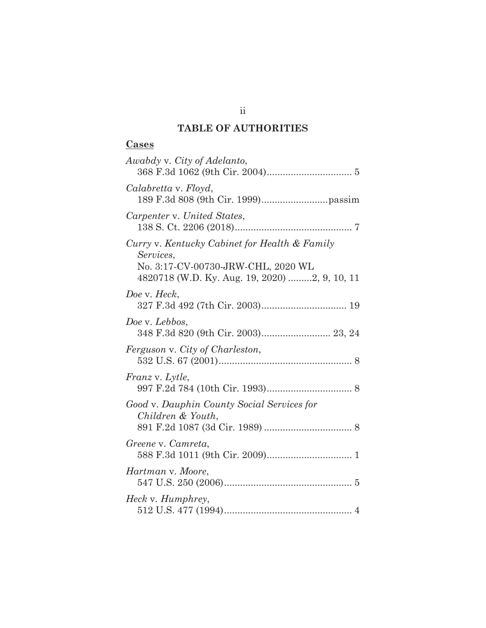## **TABLE OF AUTHORITIES**

## **Cases**

ii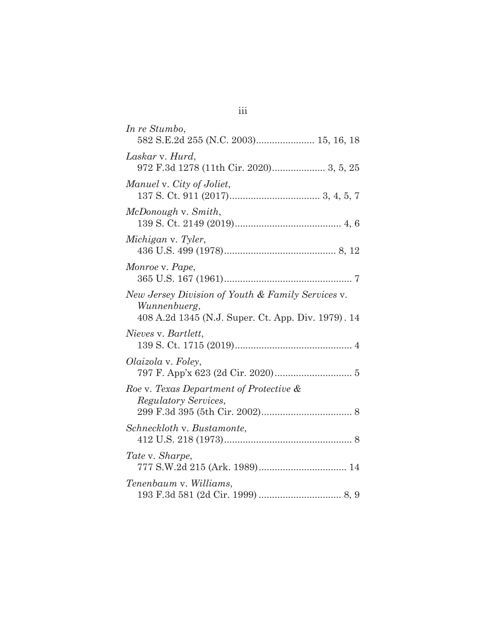| In re Stumbo,<br>582 S.E.2d 255 (N.C. 2003) 15, 16, 18                                                                  |
|-------------------------------------------------------------------------------------------------------------------------|
| Laskar v. Hurd,                                                                                                         |
| Manuel v. City of Joliet,                                                                                               |
| McDonough v. Smith,                                                                                                     |
| Michigan v. Tyler,                                                                                                      |
| Monroe v. Pape,                                                                                                         |
| New Jersey Division of Youth & Family Services v.<br>Wunnenbuerg,<br>408 A.2d 1345 (N.J. Super. Ct. App. Div. 1979). 14 |
| Nieves v. Bartlett,                                                                                                     |
| Olaizola v. Foley,                                                                                                      |
| Roe v. Texas Department of Protective &<br>Regulatory Services,                                                         |
| Schneckloth v. Bustamonte,                                                                                              |
| Tate v. Sharpe,                                                                                                         |
| Tenenbaum v. Williams,                                                                                                  |

iii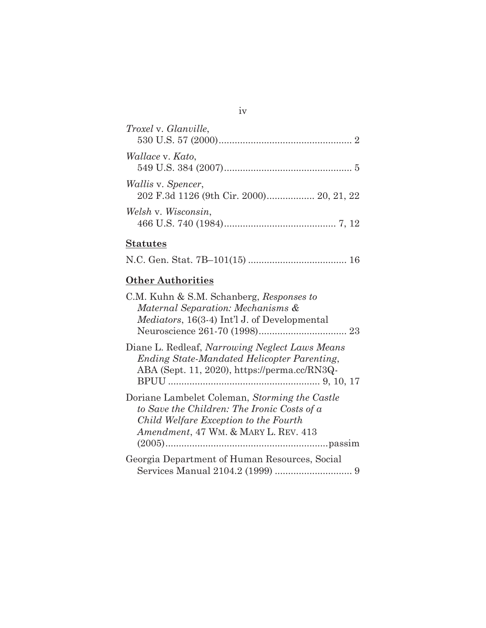| <i>Troxel v. Glanville,</i>                                           |
|-----------------------------------------------------------------------|
| <i>Wallace</i> v. <i>Kato</i> ,                                       |
| <i>Wallis v. Spencer,</i><br>202 F.3d 1126 (9th Cir. 2000) 20, 21, 22 |
| Welsh v. Wisconsin,                                                   |

iv

# **Statutes**

|--|--|--|--|--|--|--|--|

## **Other Authorities**

| C.M. Kuhn & S.M. Schanberg, Responses to<br>Maternal Separation: Mechanisms &                                                                                                 |
|-------------------------------------------------------------------------------------------------------------------------------------------------------------------------------|
| <i>Mediators</i> , 16(3-4) Int'l J. of Developmental                                                                                                                          |
| Diane L. Redleaf, Narrowing Neglect Laws Means<br><b>Ending State-Mandated Helicopter Parenting,</b><br>ABA (Sept. 11, 2020), https://perma.cc/RN3Q-                          |
| Doriane Lambelet Coleman, Storming the Castle<br>to Save the Children: The Ironic Costs of a<br>Child Welfare Exception to the Fourth<br>Amendment, 47 WM. & MARY L. REV. 413 |
| Georgia Department of Human Resources, Social                                                                                                                                 |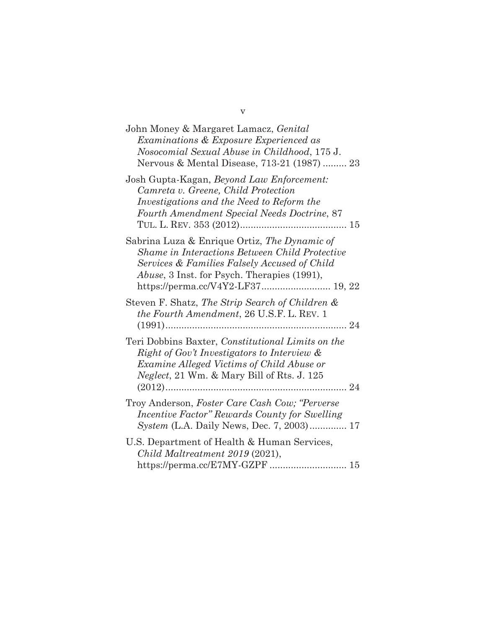| John Money & Margaret Lamacz, Genital<br>Examinations & Exposure Experienced as<br>Nosocomial Sexual Abuse in Childhood, 175 J.<br>Nervous & Mental Disease, 713-21 (1987)  23                                                                    |
|---------------------------------------------------------------------------------------------------------------------------------------------------------------------------------------------------------------------------------------------------|
| Josh Gupta-Kagan, Beyond Law Enforcement:<br>Camreta v. Greene, Child Protection<br>Investigations and the Need to Reform the<br>Fourth Amendment Special Needs Doctrine, 87                                                                      |
| Sabrina Luza & Enrique Ortiz, The Dynamic of<br><b>Shame in Interactions Between Child Protective</b><br>Services & Families Falsely Accused of Child<br><i>Abuse</i> , 3 Inst. for Psych. Therapies (1991),<br>https://perma.cc/V4Y2-LF37 19, 22 |
| Steven F. Shatz, The Strip Search of Children &<br>the Fourth Amendment, 26 U.S.F. L. REV. 1                                                                                                                                                      |
| Teri Dobbins Baxter, Constitutional Limits on the<br>Right of Gov't Investigators to Interview &<br>Examine Alleged Victims of Child Abuse or<br><i>Neglect</i> , 21 Wm. & Mary Bill of Rts. J. 125<br>24                                         |
| Troy Anderson, Foster Care Cash Cow; "Perverse<br>Incentive Factor" Rewards County for Swelling<br>System (L.A. Daily News, Dec. 7, 2003) 17                                                                                                      |
| U.S. Department of Health & Human Services,<br>Child Maltreatment 2019 (2021),<br>https://perma.cc/E7MY-GZPF  15                                                                                                                                  |

v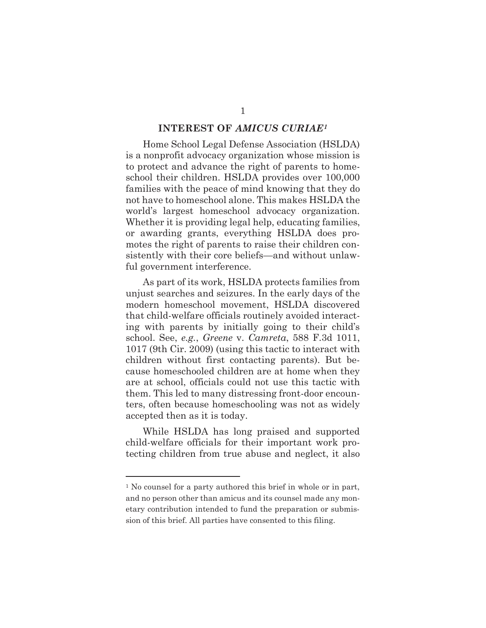### **INTEREST OF** *AMICUS CURIAE1*

 Home School Legal Defense Association (HSLDA) is a nonprofit advocacy organization whose mission is to protect and advance the right of parents to homeschool their children. HSLDA provides over 100,000 families with the peace of mind knowing that they do not have to homeschool alone. This makes HSLDA the world's largest homeschool advocacy organization. Whether it is providing legal help, educating families, or awarding grants, everything HSLDA does promotes the right of parents to raise their children consistently with their core beliefs—and without unlawful government interference.

 As part of its work, HSLDA protects families from unjust searches and seizures. In the early days of the modern homeschool movement, HSLDA discovered that child-welfare officials routinely avoided interacting with parents by initially going to their child's school. See, *e.g.*, *Greene* v. *Camreta*, 588 F.3d 1011, 1017 (9th Cir. 2009) (using this tactic to interact with children without first contacting parents). But because homeschooled children are at home when they are at school, officials could not use this tactic with them. This led to many distressing front-door encounters, often because homeschooling was not as widely accepted then as it is today.

 While HSLDA has long praised and supported child-welfare officials for their important work protecting children from true abuse and neglect, it also

<sup>1</sup> No counsel for a party authored this brief in whole or in part, and no person other than amicus and its counsel made any monetary contribution intended to fund the preparation or submission of this brief. All parties have consented to this filing.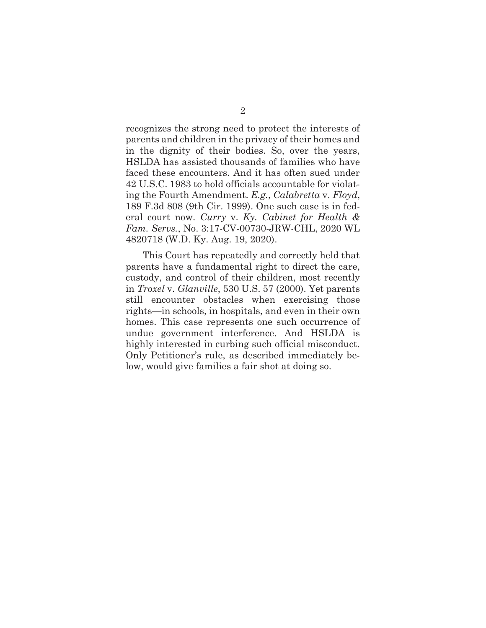recognizes the strong need to protect the interests of parents and children in the privacy of their homes and in the dignity of their bodies. So, over the years, HSLDA has assisted thousands of families who have faced these encounters. And it has often sued under 42 U.S.C. 1983 to hold officials accountable for violating the Fourth Amendment. *E.g.*, *Calabretta* v. *Floyd*, 189 F.3d 808 (9th Cir. 1999). One such case is in federal court now. *Curry* v. *Ky. Cabinet for Health & Fam. Servs.*, No. 3:17-CV-00730-JRW-CHL, 2020 WL 4820718 (W.D. Ky. Aug. 19, 2020).

 This Court has repeatedly and correctly held that parents have a fundamental right to direct the care, custody, and control of their children, most recently in *Troxel* v. *Glanville*, 530 U.S. 57 (2000). Yet parents still encounter obstacles when exercising those rights—in schools, in hospitals, and even in their own homes. This case represents one such occurrence of undue government interference. And HSLDA is highly interested in curbing such official misconduct. Only Petitioner's rule, as described immediately below, would give families a fair shot at doing so.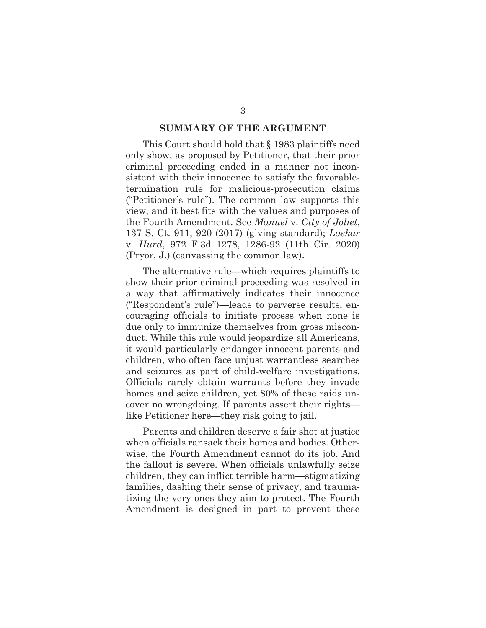#### **SUMMARY OF THE ARGUMENT**

 This Court should hold that § 1983 plaintiffs need only show, as proposed by Petitioner, that their prior criminal proceeding ended in a manner not inconsistent with their innocence to satisfy the favorabletermination rule for malicious-prosecution claims ("Petitioner's rule"). The common law supports this view, and it best fits with the values and purposes of the Fourth Amendment. See *Manuel* v. *City of Joliet*, 137 S. Ct. 911, 920 (2017) (giving standard); *Laskar* v. *Hurd*, 972 F.3d 1278, 1286-92 (11th Cir. 2020) (Pryor, J.) (canvassing the common law).

 The alternative rule—which requires plaintiffs to show their prior criminal proceeding was resolved in a way that affirmatively indicates their innocence ("Respondent's rule")—leads to perverse results, encouraging officials to initiate process when none is due only to immunize themselves from gross misconduct. While this rule would jeopardize all Americans, it would particularly endanger innocent parents and children, who often face unjust warrantless searches and seizures as part of child-welfare investigations. Officials rarely obtain warrants before they invade homes and seize children, yet 80% of these raids uncover no wrongdoing. If parents assert their rights like Petitioner here—they risk going to jail.

 Parents and children deserve a fair shot at justice when officials ransack their homes and bodies. Otherwise, the Fourth Amendment cannot do its job. And the fallout is severe. When officials unlawfully seize children, they can inflict terrible harm—stigmatizing families, dashing their sense of privacy, and traumatizing the very ones they aim to protect. The Fourth Amendment is designed in part to prevent these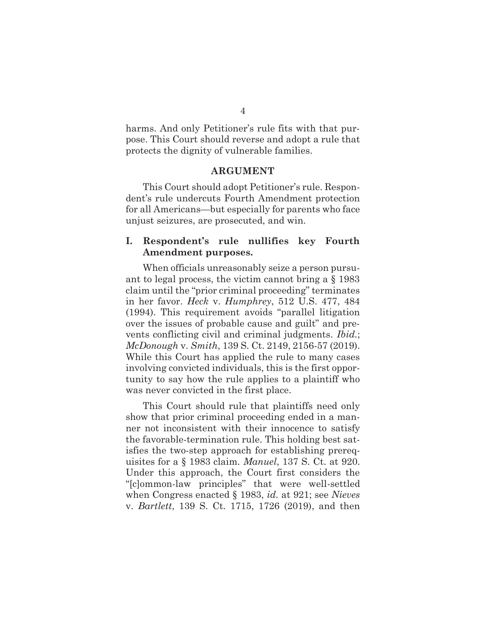harms. And only Petitioner's rule fits with that purpose. This Court should reverse and adopt a rule that protects the dignity of vulnerable families.

#### **ARGUMENT**

 This Court should adopt Petitioner's rule. Respondent's rule undercuts Fourth Amendment protection for all Americans—but especially for parents who face unjust seizures, are prosecuted, and win.

### **I. Respondent's rule nullifies key Fourth Amendment purposes.**

 When officials unreasonably seize a person pursuant to legal process, the victim cannot bring a § 1983 claim until the "prior criminal proceeding" terminates in her favor. *Heck* v. *Humphrey*, 512 U.S. 477, 484 (1994). This requirement avoids "parallel litigation over the issues of probable cause and guilt" and prevents conflicting civil and criminal judgments. *Ibid.*; *McDonough* v. *Smith*, 139 S. Ct. 2149, 2156-57 (2019). While this Court has applied the rule to many cases involving convicted individuals, this is the first opportunity to say how the rule applies to a plaintiff who was never convicted in the first place.

 This Court should rule that plaintiffs need only show that prior criminal proceeding ended in a manner not inconsistent with their innocence to satisfy the favorable-termination rule. This holding best satisfies the two-step approach for establishing prerequisites for a § 1983 claim. *Manuel*, 137 S. Ct. at 920. Under this approach, the Court first considers the "[c]ommon-law principles" that were well-settled when Congress enacted § 1983, *id.* at 921; see *Nieves*  v. *Bartlett*, 139 S. Ct. 1715, 1726 (2019), and then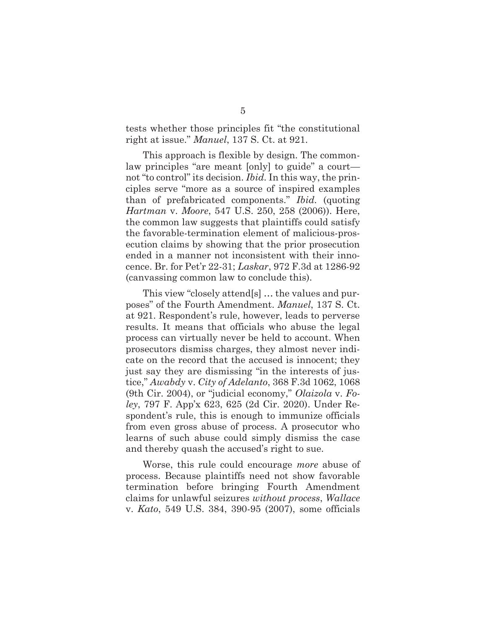tests whether those principles fit "the constitutional right at issue." *Manuel*, 137 S. Ct. at 921.

 This approach is flexible by design. The commonlaw principles "are meant [only] to guide" a court not "to control" its decision. *Ibid.* In this way, the principles serve "more as a source of inspired examples than of prefabricated components." *Ibid.* (quoting *Hartman* v. *Moore*, 547 U.S. 250, 258 (2006)). Here, the common law suggests that plaintiffs could satisfy the favorable-termination element of malicious-prosecution claims by showing that the prior prosecution ended in a manner not inconsistent with their innocence. Br. for Pet'r 22-31; *Laskar*, 972 F.3d at 1286-92 (canvassing common law to conclude this).

 This view "closely attend[s] … the values and purposes" of the Fourth Amendment. *Manuel*, 137 S. Ct. at 921. Respondent's rule, however, leads to perverse results. It means that officials who abuse the legal process can virtually never be held to account. When prosecutors dismiss charges, they almost never indicate on the record that the accused is innocent; they just say they are dismissing "in the interests of justice," *Awabdy* v. *City of Adelanto*, 368 F.3d 1062, 1068 (9th Cir. 2004), or "judicial economy," *Olaizola* v. *Foley*, 797 F. App'x 623, 625 (2d Cir. 2020). Under Respondent's rule, this is enough to immunize officials from even gross abuse of process. A prosecutor who learns of such abuse could simply dismiss the case and thereby quash the accused's right to sue.

 Worse, this rule could encourage *more* abuse of process. Because plaintiffs need not show favorable termination before bringing Fourth Amendment claims for unlawful seizures *without process*, *Wallace*  v. *Kato*, 549 U.S. 384, 390-95 (2007), some officials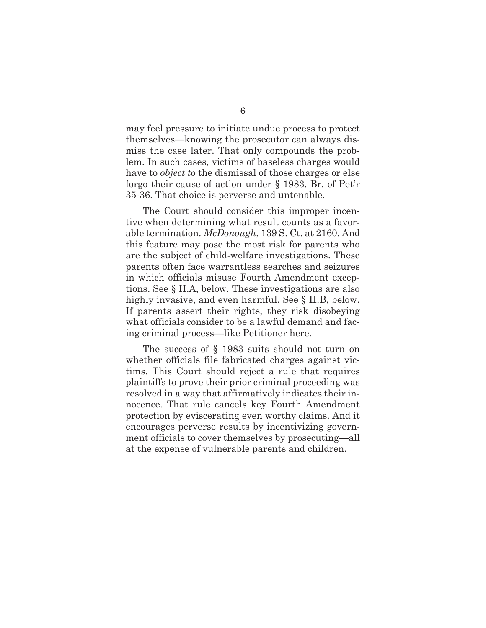may feel pressure to initiate undue process to protect themselves—knowing the prosecutor can always dismiss the case later. That only compounds the problem. In such cases, victims of baseless charges would have to *object to* the dismissal of those charges or else forgo their cause of action under § 1983. Br. of Pet'r 35-36. That choice is perverse and untenable.

 The Court should consider this improper incentive when determining what result counts as a favorable termination. *McDonough*, 139 S. Ct. at 2160. And this feature may pose the most risk for parents who are the subject of child-welfare investigations. These parents often face warrantless searches and seizures in which officials misuse Fourth Amendment exceptions. See § II.A, below. These investigations are also highly invasive, and even harmful. See § II.B, below. If parents assert their rights, they risk disobeying what officials consider to be a lawful demand and facing criminal process—like Petitioner here.

 The success of § 1983 suits should not turn on whether officials file fabricated charges against victims. This Court should reject a rule that requires plaintiffs to prove their prior criminal proceeding was resolved in a way that affirmatively indicates their innocence. That rule cancels key Fourth Amendment protection by eviscerating even worthy claims. And it encourages perverse results by incentivizing government officials to cover themselves by prosecuting—all at the expense of vulnerable parents and children.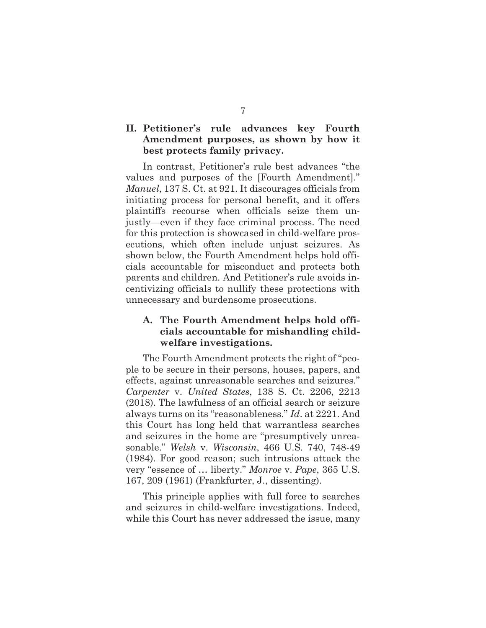## **II. Petitioner's rule advances key Fourth Amendment purposes, as shown by how it best protects family privacy.**

 In contrast, Petitioner's rule best advances "the values and purposes of the [Fourth Amendment]." *Manuel*, 137 S. Ct. at 921. It discourages officials from initiating process for personal benefit, and it offers plaintiffs recourse when officials seize them unjustly—even if they face criminal process. The need for this protection is showcased in child-welfare prosecutions, which often include unjust seizures. As shown below, the Fourth Amendment helps hold officials accountable for misconduct and protects both parents and children. And Petitioner's rule avoids incentivizing officials to nullify these protections with unnecessary and burdensome prosecutions.

## **A. The Fourth Amendment helps hold officials accountable for mishandling childwelfare investigations.**

 The Fourth Amendment protects the right of "people to be secure in their persons, houses, papers, and effects, against unreasonable searches and seizures." *Carpenter* v. *United States*, 138 S. Ct. 2206, 2213 (2018). The lawfulness of an official search or seizure always turns on its "reasonableness." *Id*. at 2221. And this Court has long held that warrantless searches and seizures in the home are "presumptively unreasonable." *Welsh* v. *Wisconsin*, 466 U.S. 740, 748-49 (1984). For good reason; such intrusions attack the very "essence of … liberty." *Monroe* v. *Pape*, 365 U.S. 167, 209 (1961) (Frankfurter, J., dissenting).

 This principle applies with full force to searches and seizures in child-welfare investigations. Indeed, while this Court has never addressed the issue, many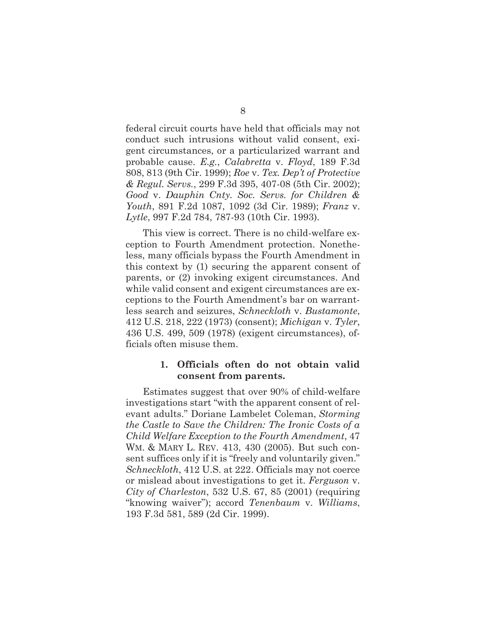federal circuit courts have held that officials may not conduct such intrusions without valid consent, exigent circumstances, or a particularized warrant and probable cause. *E.g.*, *Calabretta* v. *Floyd*, 189 F.3d 808, 813 (9th Cir. 1999); *Roe* v. *Tex. Dep't of Protective & Regul. Servs.*, 299 F.3d 395, 407-08 (5th Cir. 2002); *Good* v. *Dauphin Cnty. Soc. Servs. for Children & Youth*, 891 F.2d 1087, 1092 (3d Cir. 1989); *Franz* v. *Lytle*, 997 F.2d 784, 787-93 (10th Cir. 1993).

 This view is correct. There is no child-welfare exception to Fourth Amendment protection. Nonetheless, many officials bypass the Fourth Amendment in this context by (1) securing the apparent consent of parents, or (2) invoking exigent circumstances. And while valid consent and exigent circumstances are exceptions to the Fourth Amendment's bar on warrantless search and seizures, *Schneckloth* v. *Bustamonte*, 412 U.S. 218, 222 (1973) (consent); *Michigan* v. *Tyler*, 436 U.S. 499, 509 (1978) (exigent circumstances), officials often misuse them.

### **1. Officials often do not obtain valid consent from parents.**

 Estimates suggest that over 90% of child-welfare investigations start "with the apparent consent of relevant adults." Doriane Lambelet Coleman, *Storming the Castle to Save the Children: The Ironic Costs of a Child Welfare Exception to the Fourth Amendment*, 47 WM. & MARY L. REV. 413, 430 (2005). But such consent suffices only if it is "freely and voluntarily given." *Schneckloth*, 412 U.S. at 222. Officials may not coerce or mislead about investigations to get it. *Ferguson* v. *City of Charleston*, 532 U.S. 67, 85 (2001) (requiring "knowing waiver"); accord *Tenenbaum* v. *Williams*, 193 F.3d 581, 589 (2d Cir. 1999).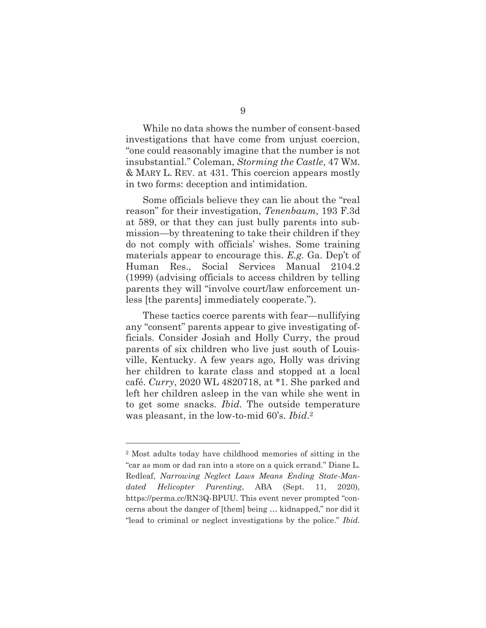While no data shows the number of consent-based investigations that have come from unjust coercion, "one could reasonably imagine that the number is not insubstantial." Coleman, *Storming the Castle*, 47 WM. & MARY L. REV. at 431. This coercion appears mostly in two forms: deception and intimidation.

 Some officials believe they can lie about the "real reason" for their investigation, *Tenenbaum*, 193 F.3d at 589, or that they can just bully parents into submission—by threatening to take their children if they do not comply with officials' wishes. Some training materials appear to encourage this. *E.g.* Ga. Dep't of Human Res., Social Services Manual 2104.2 (1999) (advising officials to access children by telling parents they will "involve court/law enforcement unless [the parents] immediately cooperate.").

 These tactics coerce parents with fear—nullifying any "consent" parents appear to give investigating officials. Consider Josiah and Holly Curry, the proud parents of six children who live just south of Louisville, Kentucky. A few years ago, Holly was driving her children to karate class and stopped at a local café. *Curry*, 2020 WL 4820718, at \*1. She parked and left her children asleep in the van while she went in to get some snacks. *Ibid*. The outside temperature was pleasant, in the low-to-mid 60's. *Ibid*.2

<sup>2</sup> Most adults today have childhood memories of sitting in the "car as mom or dad ran into a store on a quick errand." Diane L. Redleaf, *Narrowing Neglect Laws Means Ending State-Mandated Helicopter Parenting*, ABA (Sept. 11, 2020), https://perma.cc/RN3Q-BPUU. This event never prompted "concerns about the danger of [them] being … kidnapped," nor did it "lead to criminal or neglect investigations by the police." *Ibid.*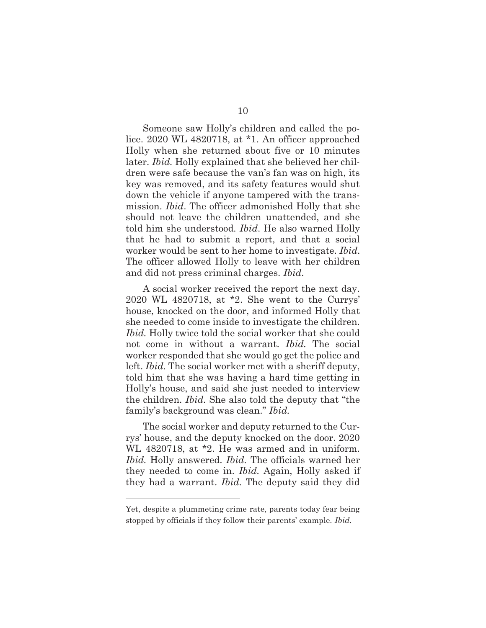Someone saw Holly's children and called the police. 2020 WL 4820718, at \*1. An officer approached Holly when she returned about five or 10 minutes later. *Ibid.* Holly explained that she believed her children were safe because the van's fan was on high, its key was removed, and its safety features would shut down the vehicle if anyone tampered with the transmission. *Ibid*. The officer admonished Holly that she should not leave the children unattended, and she told him she understood. *Ibid*. He also warned Holly that he had to submit a report, and that a social worker would be sent to her home to investigate. *Ibid*. The officer allowed Holly to leave with her children and did not press criminal charges. *Ibid*.

 A social worker received the report the next day. 2020 WL 4820718, at \*2. She went to the Currys' house, knocked on the door, and informed Holly that she needed to come inside to investigate the children. *Ibid.* Holly twice told the social worker that she could not come in without a warrant. *Ibid.* The social worker responded that she would go get the police and left. *Ibid.* The social worker met with a sheriff deputy, told him that she was having a hard time getting in Holly's house, and said she just needed to interview the children. *Ibid.* She also told the deputy that "the family's background was clean." *Ibid.* 

 The social worker and deputy returned to the Currys' house, and the deputy knocked on the door. 2020 WL 4820718, at \*2. He was armed and in uniform. *Ibid.* Holly answered. *Ibid.* The officials warned her they needed to come in. *Ibid.* Again, Holly asked if they had a warrant. *Ibid.* The deputy said they did

Yet, despite a plummeting crime rate, parents today fear being stopped by officials if they follow their parents' example. *Ibid.*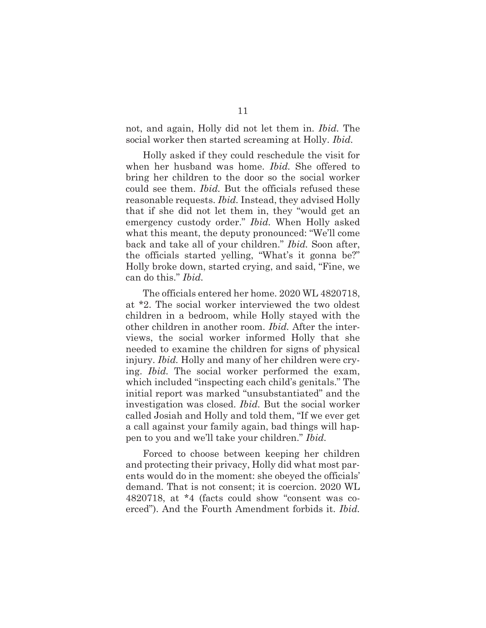not, and again, Holly did not let them in. *Ibid.* The social worker then started screaming at Holly. *Ibid.* 

 Holly asked if they could reschedule the visit for when her husband was home. *Ibid.* She offered to bring her children to the door so the social worker could see them. *Ibid.* But the officials refused these reasonable requests. *Ibid.* Instead, they advised Holly that if she did not let them in, they "would get an emergency custody order." *Ibid.* When Holly asked what this meant, the deputy pronounced: "We'll come back and take all of your children." *Ibid.* Soon after, the officials started yelling, "What's it gonna be?" Holly broke down, started crying, and said, "Fine, we can do this." *Ibid.* 

 The officials entered her home. 2020 WL 4820718, at \*2. The social worker interviewed the two oldest children in a bedroom, while Holly stayed with the other children in another room. *Ibid.* After the interviews, the social worker informed Holly that she needed to examine the children for signs of physical injury. *Ibid.* Holly and many of her children were crying. *Ibid.* The social worker performed the exam, which included "inspecting each child's genitals." The initial report was marked "unsubstantiated" and the investigation was closed. *Ibid.* But the social worker called Josiah and Holly and told them, "If we ever get a call against your family again, bad things will happen to you and we'll take your children." *Ibid.* 

 Forced to choose between keeping her children and protecting their privacy, Holly did what most parents would do in the moment: she obeyed the officials' demand. That is not consent; it is coercion. 2020 WL 4820718, at \*4 (facts could show "consent was coerced"). And the Fourth Amendment forbids it. *Ibid.*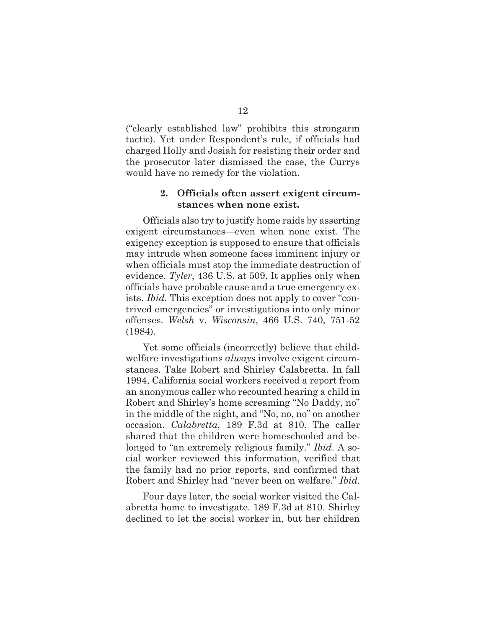("clearly established law" prohibits this strongarm tactic). Yet under Respondent's rule, if officials had charged Holly and Josiah for resisting their order and the prosecutor later dismissed the case, the Currys would have no remedy for the violation.

### **2. Officials often assert exigent circumstances when none exist.**

 Officials also try to justify home raids by asserting exigent circumstances—even when none exist. The exigency exception is supposed to ensure that officials may intrude when someone faces imminent injury or when officials must stop the immediate destruction of evidence. *Tyler*, 436 U.S. at 509. It applies only when officials have probable cause and a true emergency exists. *Ibid.* This exception does not apply to cover "contrived emergencies" or investigations into only minor offenses. *Welsh* v. *Wisconsin*, 466 U.S. 740, 751-52 (1984).

 Yet some officials (incorrectly) believe that childwelfare investigations *always* involve exigent circumstances. Take Robert and Shirley Calabretta. In fall 1994, California social workers received a report from an anonymous caller who recounted hearing a child in Robert and Shirley's home screaming "No Daddy, no" in the middle of the night, and "No, no, no" on another occasion. *Calabretta*, 189 F.3d at 810. The caller shared that the children were homeschooled and belonged to "an extremely religious family." *Ibid*. A social worker reviewed this information, verified that the family had no prior reports, and confirmed that Robert and Shirley had "never been on welfare." *Ibid*.

 Four days later, the social worker visited the Calabretta home to investigate. 189 F.3d at 810. Shirley declined to let the social worker in, but her children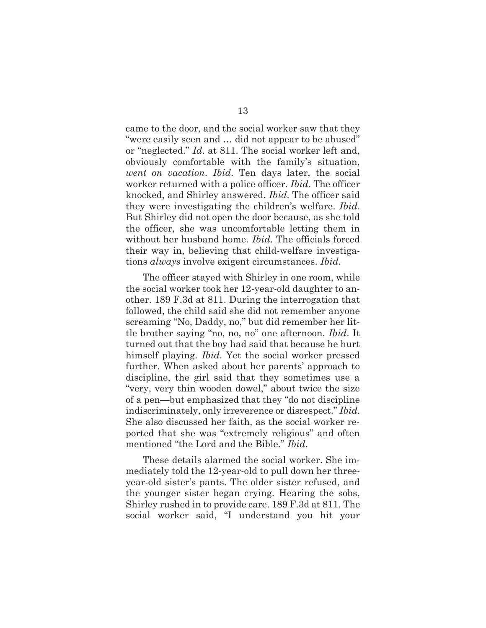came to the door, and the social worker saw that they "were easily seen and … did not appear to be abused" or "neglected." *Id*. at 811. The social worker left and, obviously comfortable with the family's situation, *went on vacation*. *Ibid*. Ten days later, the social worker returned with a police officer. *Ibid*. The officer knocked, and Shirley answered. *Ibid*. The officer said they were investigating the children's welfare. *Ibid*. But Shirley did not open the door because, as she told the officer, she was uncomfortable letting them in without her husband home. *Ibid*. The officials forced their way in, believing that child-welfare investigations *always* involve exigent circumstances. *Ibid*.

 The officer stayed with Shirley in one room, while the social worker took her 12-year-old daughter to another. 189 F.3d at 811. During the interrogation that followed, the child said she did not remember anyone screaming "No, Daddy, no," but did remember her little brother saying "no, no, no" one afternoon. *Ibid*. It turned out that the boy had said that because he hurt himself playing. *Ibid*. Yet the social worker pressed further. When asked about her parents' approach to discipline, the girl said that they sometimes use a "very, very thin wooden dowel," about twice the size of a pen—but emphasized that they "do not discipline indiscriminately, only irreverence or disrespect." *Ibid*. She also discussed her faith, as the social worker reported that she was "extremely religious" and often mentioned "the Lord and the Bible." *Ibid*.

 These details alarmed the social worker. She immediately told the 12-year-old to pull down her threeyear-old sister's pants. The older sister refused, and the younger sister began crying. Hearing the sobs, Shirley rushed in to provide care. 189 F.3d at 811. The social worker said, "I understand you hit your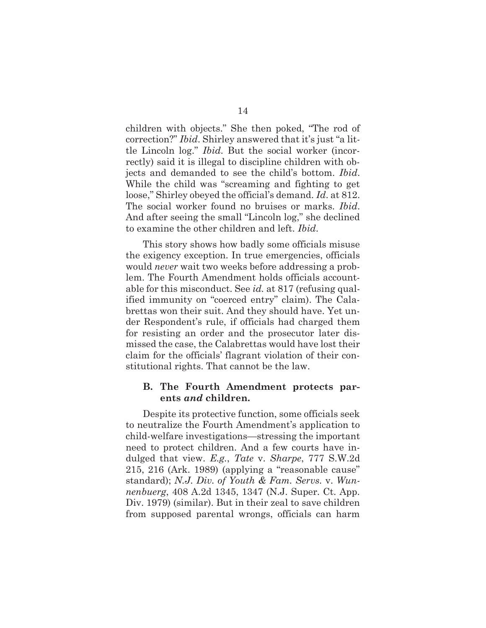children with objects." She then poked, "The rod of correction?" *Ibid*. Shirley answered that it's just "a little Lincoln log." *Ibid*. But the social worker (incorrectly) said it is illegal to discipline children with objects and demanded to see the child's bottom. *Ibid*. While the child was "screaming and fighting to get loose," Shirley obeyed the official's demand. *Id*. at 812. The social worker found no bruises or marks. *Ibid*. And after seeing the small "Lincoln log," she declined to examine the other children and left. *Ibid*.

 This story shows how badly some officials misuse the exigency exception. In true emergencies, officials would *never* wait two weeks before addressing a problem. The Fourth Amendment holds officials accountable for this misconduct. See *id.* at 817 (refusing qualified immunity on "coerced entry" claim). The Calabrettas won their suit. And they should have. Yet under Respondent's rule, if officials had charged them for resisting an order and the prosecutor later dismissed the case, the Calabrettas would have lost their claim for the officials' flagrant violation of their constitutional rights. That cannot be the law.

#### **B. The Fourth Amendment protects parents** *and* **children.**

 Despite its protective function, some officials seek to neutralize the Fourth Amendment's application to child-welfare investigations—stressing the important need to protect children. And a few courts have indulged that view. *E.g.*, *Tate* v. *Sharpe*, 777 S.W.2d 215, 216 (Ark. 1989) (applying a "reasonable cause" standard); *N.J. Div. of Youth & Fam. Servs.* v. *Wunnenbuerg*, 408 A.2d 1345, 1347 (N.J. Super. Ct. App. Div. 1979) (similar). But in their zeal to save children from supposed parental wrongs, officials can harm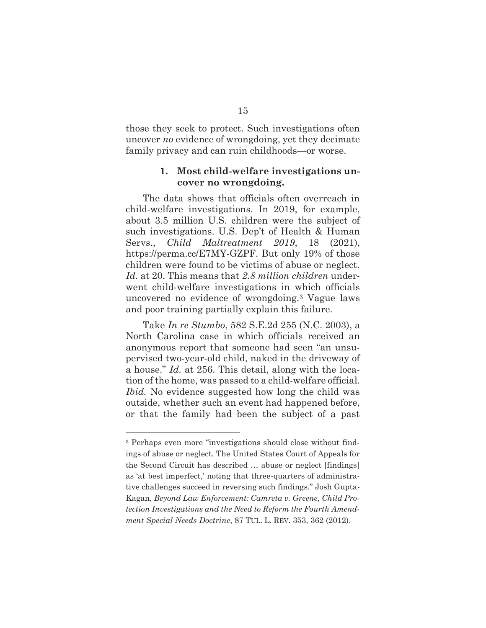those they seek to protect. Such investigations often uncover *no* evidence of wrongdoing, yet they decimate family privacy and can ruin childhoods—or worse.

### **1. Most child-welfare investigations uncover no wrongdoing.**

 The data shows that officials often overreach in child-welfare investigations. In 2019, for example, about 3.5 million U.S. children were the subject of such investigations. U.S. Dep't of Health & Human Servs., *Child Maltreatment 2019*, 18 (2021), https://perma.cc/E7MY-GZPF. But only 19% of those children were found to be victims of abuse or neglect. *Id.* at 20. This means that *2.8 million children* underwent child-welfare investigations in which officials uncovered no evidence of wrongdoing.3 Vague laws and poor training partially explain this failure.

 Take *In re Stumbo*, 582 S.E.2d 255 (N.C. 2003), a North Carolina case in which officials received an anonymous report that someone had seen "an unsupervised two-year-old child, naked in the driveway of a house." *Id.* at 256. This detail, along with the location of the home, was passed to a child-welfare official. *Ibid.* No evidence suggested how long the child was outside, whether such an event had happened before, or that the family had been the subject of a past

<sup>3</sup> Perhaps even more "investigations should close without findings of abuse or neglect. The United States Court of Appeals for the Second Circuit has described … abuse or neglect [findings] as 'at best imperfect,' noting that three-quarters of administrative challenges succeed in reversing such findings." Josh Gupta-Kagan, *Beyond Law Enforcement: Camreta v. Greene, Child Protection Investigations and the Need to Reform the Fourth Amendment Special Needs Doctrine*, 87 TUL. L. REV. 353, 362 (2012).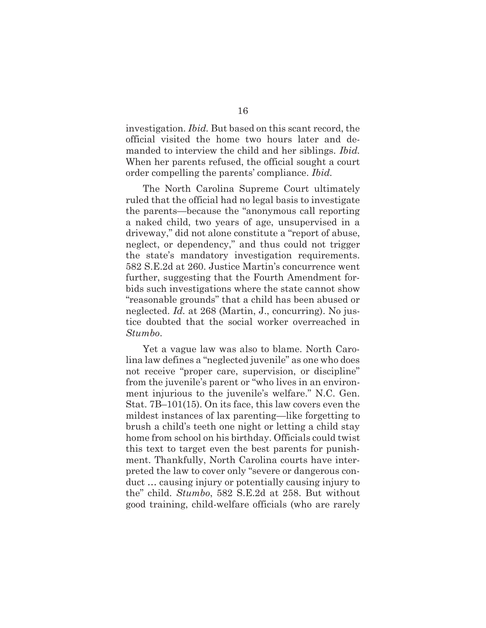investigation. *Ibid.* But based on this scant record, the official visited the home two hours later and demanded to interview the child and her siblings. *Ibid.*  When her parents refused, the official sought a court order compelling the parents' compliance. *Ibid.*

 The North Carolina Supreme Court ultimately ruled that the official had no legal basis to investigate the parents—because the "anonymous call reporting a naked child, two years of age, unsupervised in a driveway," did not alone constitute a "report of abuse, neglect, or dependency," and thus could not trigger the state's mandatory investigation requirements. 582 S.E.2d at 260. Justice Martin's concurrence went further, suggesting that the Fourth Amendment forbids such investigations where the state cannot show "reasonable grounds" that a child has been abused or neglected. *Id.* at 268 (Martin, J., concurring). No justice doubted that the social worker overreached in *Stumbo*.

 Yet a vague law was also to blame. North Carolina law defines a "neglected juvenile" as one who does not receive "proper care, supervision, or discipline" from the juvenile's parent or "who lives in an environment injurious to the juvenile's welfare." N.C. Gen. Stat. 7B–101(15). On its face, this law covers even the mildest instances of lax parenting—like forgetting to brush a child's teeth one night or letting a child stay home from school on his birthday. Officials could twist this text to target even the best parents for punishment. Thankfully, North Carolina courts have interpreted the law to cover only "severe or dangerous conduct … causing injury or potentially causing injury to the" child. *Stumbo*, 582 S.E.2d at 258. But without good training, child-welfare officials (who are rarely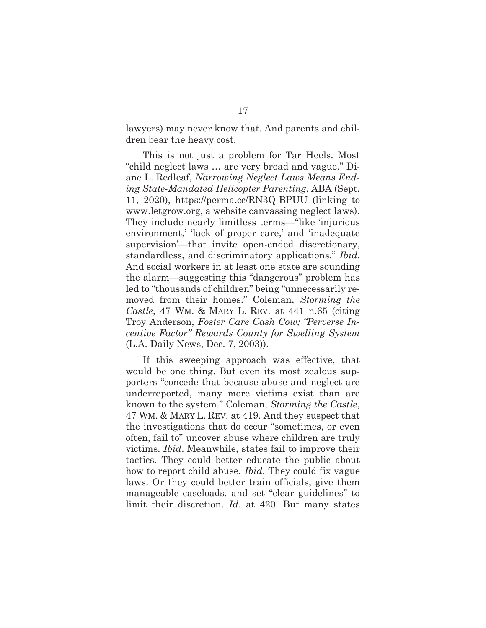lawyers) may never know that. And parents and children bear the heavy cost.

 This is not just a problem for Tar Heels. Most "child neglect laws … are very broad and vague." Diane L. Redleaf, *Narrowing Neglect Laws Means Ending State-Mandated Helicopter Parenting*, ABA (Sept. 11, 2020), https://perma.cc/RN3Q-BPUU (linking to www.letgrow.org, a website canvassing neglect laws). They include nearly limitless terms—"like 'injurious environment,' 'lack of proper care,' and 'inadequate supervision'—that invite open-ended discretionary, standardless, and discriminatory applications." *Ibid*. And social workers in at least one state are sounding the alarm—suggesting this "dangerous" problem has led to "thousands of children" being "unnecessarily removed from their homes." Coleman, *Storming the Castle*, 47 WM. & MARY L. REV. at 441 n.65 (citing Troy Anderson, *Foster Care Cash Cow; "Perverse Incentive Factor" Rewards County for Swelling System* (L.A. Daily News, Dec. 7, 2003)).

 If this sweeping approach was effective, that would be one thing. But even its most zealous supporters "concede that because abuse and neglect are underreported, many more victims exist than are known to the system." Coleman, *Storming the Castle*, 47 WM. & MARY L. REV. at 419. And they suspect that the investigations that do occur "sometimes, or even often, fail to" uncover abuse where children are truly victims. *Ibid*. Meanwhile, states fail to improve their tactics. They could better educate the public about how to report child abuse. *Ibid*. They could fix vague laws. Or they could better train officials, give them manageable caseloads, and set "clear guidelines" to limit their discretion. *Id*. at 420. But many states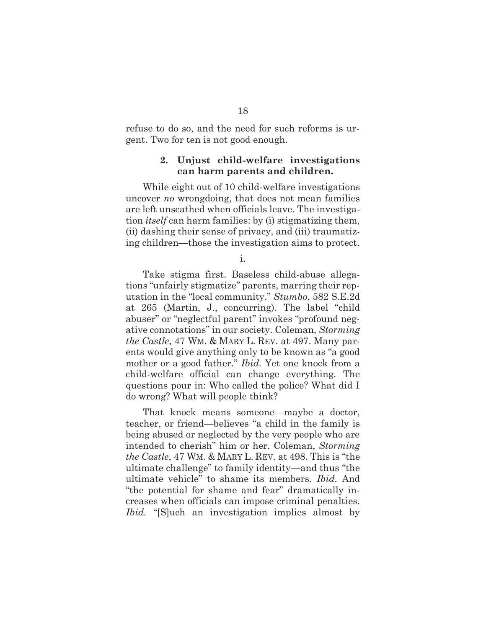refuse to do so, and the need for such reforms is urgent. Two for ten is not good enough.

### **2. Unjust child-welfare investigations can harm parents and children.**

 While eight out of 10 child-welfare investigations uncover *no* wrongdoing, that does not mean families are left unscathed when officials leave. The investigation *itself* can harm families: by (i) stigmatizing them, (ii) dashing their sense of privacy, and (iii) traumatizing children—those the investigation aims to protect.

i.

 Take stigma first. Baseless child-abuse allegations "unfairly stigmatize" parents, marring their reputation in the "local community." *Stumbo*, 582 S.E.2d at 265 (Martin, J., concurring). The label "child abuser" or "neglectful parent" invokes "profound negative connotations" in our society. Coleman, *Storming the Castle*, 47 WM. & MARY L. REV. at 497. Many parents would give anything only to be known as "a good mother or a good father." *Ibid.* Yet one knock from a child-welfare official can change everything. The questions pour in: Who called the police? What did I do wrong? What will people think?

 That knock means someone—maybe a doctor, teacher, or friend—believes "a child in the family is being abused or neglected by the very people who are intended to cherish" him or her. Coleman, *Storming the Castle*, 47 WM. & MARY L. REV. at 498. This is "the ultimate challenge" to family identity—and thus "the ultimate vehicle" to shame its members. *Ibid.* And "the potential for shame and fear" dramatically increases when officials can impose criminal penalties. *Ibid.* "[S]uch an investigation implies almost by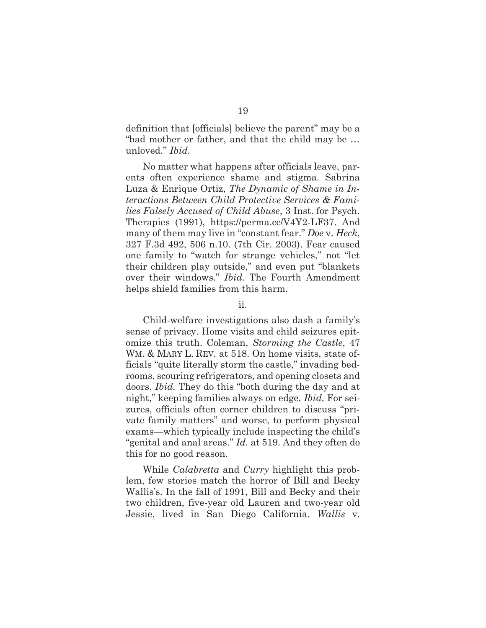definition that [officials] believe the parent" may be a "bad mother or father, and that the child may be … unloved." *Ibid.* 

 No matter what happens after officials leave, parents often experience shame and stigma. Sabrina Luza & Enrique Ortiz, *The Dynamic of Shame in Interactions Between Child Protective Services & Families Falsely Accused of Child Abuse*, 3 Inst. for Psych. Therapies (1991), https://perma.cc/V4Y2-LF37. And many of them may live in "constant fear." *Doe* v. *Heck*, 327 F.3d 492, 506 n.10. (7th Cir. 2003). Fear caused one family to "watch for strange vehicles," not "let their children play outside," and even put "blankets over their windows." *Ibid.* The Fourth Amendment helps shield families from this harm.

#### ii.

 Child-welfare investigations also dash a family's sense of privacy. Home visits and child seizures epitomize this truth. Coleman, *Storming the Castle*, 47 WM. & MARY L. REV. at 518. On home visits, state officials "quite literally storm the castle," invading bedrooms, scouring refrigerators, and opening closets and doors. *Ibid.* They do this "both during the day and at night," keeping families always on edge. *Ibid.* For seizures, officials often corner children to discuss "private family matters" and worse, to perform physical exams—which typically include inspecting the child's "genital and anal areas." *Id.* at 519. And they often do this for no good reason.

 While *Calabretta* and *Curry* highlight this problem, few stories match the horror of Bill and Becky Wallis's. In the fall of 1991, Bill and Becky and their two children, five-year old Lauren and two-year old Jessie, lived in San Diego California. *Wallis* v.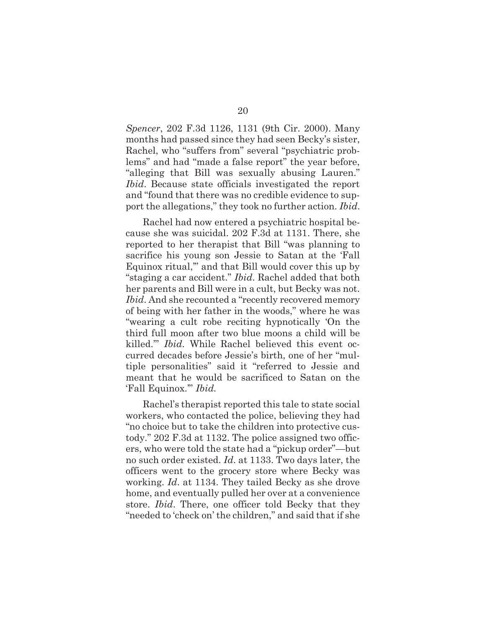*Spencer*, 202 F.3d 1126, 1131 (9th Cir. 2000). Many months had passed since they had seen Becky's sister, Rachel, who "suffers from" several "psychiatric problems" and had "made a false report" the year before, "alleging that Bill was sexually abusing Lauren." *Ibid*. Because state officials investigated the report and "found that there was no credible evidence to support the allegations," they took no further action. *Ibid*.

 Rachel had now entered a psychiatric hospital because she was suicidal. 202 F.3d at 1131. There, she reported to her therapist that Bill "was planning to sacrifice his young son Jessie to Satan at the 'Fall Equinox ritual,'" and that Bill would cover this up by "staging a car accident." *Ibid*. Rachel added that both her parents and Bill were in a cult, but Becky was not. *Ibid*. And she recounted a "recently recovered memory of being with her father in the woods," where he was "wearing a cult robe reciting hypnotically 'On the third full moon after two blue moons a child will be killed.'" *Ibid*. While Rachel believed this event occurred decades before Jessie's birth, one of her "multiple personalities" said it "referred to Jessie and meant that he would be sacrificed to Satan on the 'Fall Equinox.'" *Ibid.* 

 Rachel's therapist reported this tale to state social workers, who contacted the police, believing they had "no choice but to take the children into protective custody." 202 F.3d at 1132. The police assigned two officers, who were told the state had a "pickup order"—but no such order existed. *Id*. at 1133. Two days later, the officers went to the grocery store where Becky was working. *Id*. at 1134. They tailed Becky as she drove home, and eventually pulled her over at a convenience store. *Ibid*. There, one officer told Becky that they "needed to 'check on' the children," and said that if she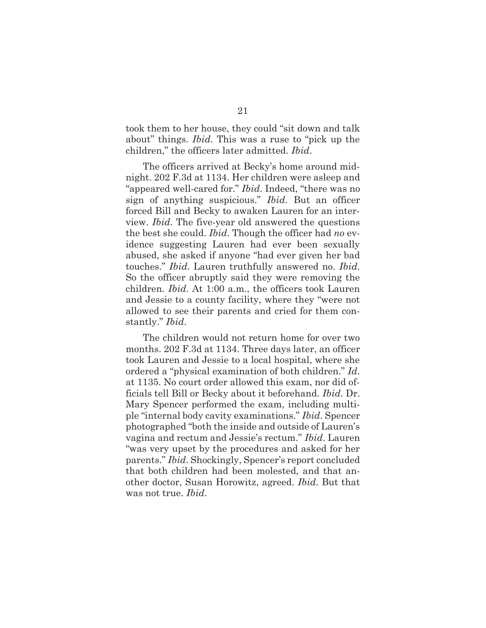took them to her house, they could "sit down and talk about" things. *Ibid*. This was a ruse to "pick up the children," the officers later admitted. *Ibid*.

 The officers arrived at Becky's home around midnight. 202 F.3d at 1134. Her children were asleep and "appeared well-cared for." *Ibid*. Indeed, "there was no sign of anything suspicious." *Ibid*. But an officer forced Bill and Becky to awaken Lauren for an interview. *Ibid*. The five-year old answered the questions the best she could. *Ibid*. Though the officer had *no* evidence suggesting Lauren had ever been sexually abused, she asked if anyone "had ever given her bad touches." *Ibid*. Lauren truthfully answered no. *Ibid*. So the officer abruptly said they were removing the children. *Ibid*. At 1:00 a.m., the officers took Lauren and Jessie to a county facility, where they "were not allowed to see their parents and cried for them constantly." *Ibid*.

 The children would not return home for over two months. 202 F.3d at 1134. Three days later, an officer took Lauren and Jessie to a local hospital, where she ordered a "physical examination of both children." *Id*. at 1135. No court order allowed this exam, nor did officials tell Bill or Becky about it beforehand. *Ibid*. Dr. Mary Spencer performed the exam, including multiple "internal body cavity examinations." *Ibid*. Spencer photographed "both the inside and outside of Lauren's vagina and rectum and Jessie's rectum." *Ibid*. Lauren "was very upset by the procedures and asked for her parents." *Ibid*. Shockingly, Spencer's report concluded that both children had been molested, and that another doctor, Susan Horowitz, agreed. *Ibid*. But that was not true. *Ibid*.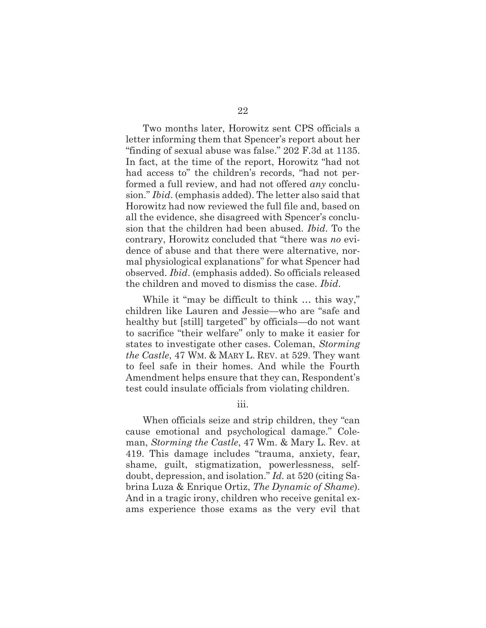Two months later, Horowitz sent CPS officials a letter informing them that Spencer's report about her "finding of sexual abuse was false." 202 F.3d at 1135. In fact, at the time of the report, Horowitz "had not had access to" the children's records, "had not performed a full review, and had not offered *any* conclusion." *Ibid*. (emphasis added). The letter also said that Horowitz had now reviewed the full file and, based on all the evidence, she disagreed with Spencer's conclusion that the children had been abused. *Ibid*. To the contrary, Horowitz concluded that "there was *no* evidence of abuse and that there were alternative, normal physiological explanations" for what Spencer had observed. *Ibid*. (emphasis added). So officials released the children and moved to dismiss the case. *Ibid*.

 While it "may be difficult to think … this way," children like Lauren and Jessie—who are "safe and healthy but [still] targeted" by officials—do not want to sacrifice "their welfare" only to make it easier for states to investigate other cases. Coleman, *Storming the Castle*, 47 WM. & MARY L. REV. at 529. They want to feel safe in their homes. And while the Fourth Amendment helps ensure that they can, Respondent's test could insulate officials from violating children.

iii.

 When officials seize and strip children, they "can cause emotional and psychological damage." Coleman, *Storming the Castle*, 47 Wm. & Mary L. Rev. at 419. This damage includes "trauma, anxiety, fear, shame, guilt, stigmatization, powerlessness, selfdoubt, depression, and isolation." *Id.* at 520 (citing Sabrina Luza & Enrique Ortiz, *The Dynamic of Shame*). And in a tragic irony, children who receive genital exams experience those exams as the very evil that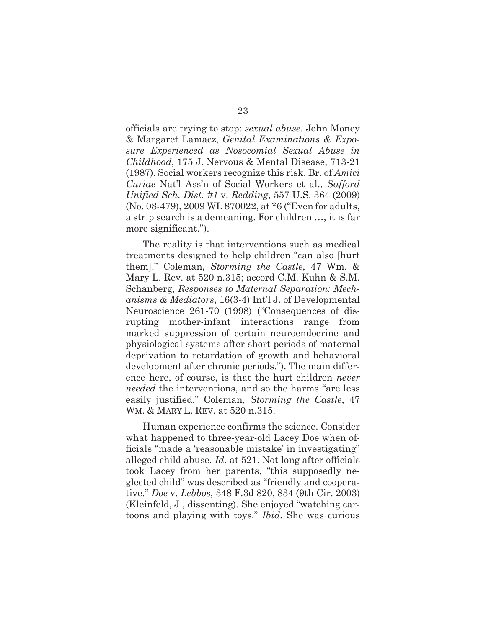officials are trying to stop: *sexual abuse*. John Money & Margaret Lamacz, *Genital Examinations & Exposure Experienced as Nosocomial Sexual Abuse in Childhood*, 175 J. Nervous & Mental Disease, 713-21 (1987). Social workers recognize this risk. Br. of *Amici Curiae* Nat'l Ass'n of Social Workers et al., *Safford Unified Sch. Dist. #1* v. *Redding*, 557 U.S. 364 (2009) (No. 08-479), 2009 WL 870022, at \*6 ("Even for adults, a strip search is a demeaning. For children …, it is far more significant.").

 The reality is that interventions such as medical treatments designed to help children "can also [hurt them]." Coleman, *Storming the Castle*, 47 Wm. & Mary L. Rev. at 520 n.315; accord C.M. Kuhn & S.M. Schanberg, *Responses to Maternal Separation: Mechanisms & Mediators*, 16(3-4) Int'l J. of Developmental Neuroscience 261-70 (1998) ("Consequences of disrupting mother-infant interactions range from marked suppression of certain neuroendocrine and physiological systems after short periods of maternal deprivation to retardation of growth and behavioral development after chronic periods."). The main difference here, of course, is that the hurt children *never needed* the interventions, and so the harms "are less easily justified." Coleman, *Storming the Castle*, 47 WM. & MARY L. REV. at 520 n.315.

 Human experience confirms the science. Consider what happened to three-year-old Lacey Doe when officials "made a 'reasonable mistake' in investigating" alleged child abuse. *Id.* at 521. Not long after officials took Lacey from her parents, "this supposedly neglected child" was described as "friendly and cooperative." *Doe* v. *Lebbos*, 348 F.3d 820, 834 (9th Cir. 2003) (Kleinfeld, J., dissenting). She enjoyed "watching cartoons and playing with toys." *Ibid.* She was curious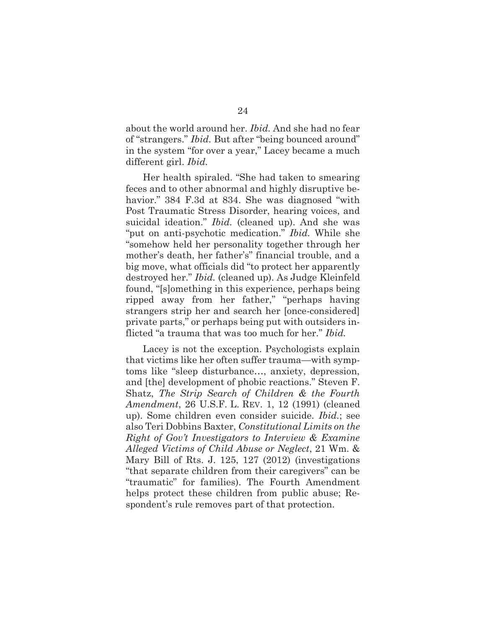about the world around her. *Ibid.* And she had no fear of "strangers." *Ibid.* But after "being bounced around" in the system "for over a year," Lacey became a much different girl. *Ibid.* 

 Her health spiraled. "She had taken to smearing feces and to other abnormal and highly disruptive behavior." 384 F.3d at 834. She was diagnosed "with Post Traumatic Stress Disorder, hearing voices, and suicidal ideation." *Ibid.* (cleaned up). And she was "put on anti-psychotic medication." *Ibid.* While she "somehow held her personality together through her mother's death, her father's" financial trouble, and a big move, what officials did "to protect her apparently destroyed her." *Ibid.* (cleaned up). As Judge Kleinfeld found, "[s]omething in this experience, perhaps being ripped away from her father," "perhaps having strangers strip her and search her [once-considered] private parts," or perhaps being put with outsiders inflicted "a trauma that was too much for her." *Ibid.*

 Lacey is not the exception. Psychologists explain that victims like her often suffer trauma—with symptoms like "sleep disturbance…, anxiety, depression, and [the] development of phobic reactions." Steven F. Shatz, *The Strip Search of Children & the Fourth Amendment*, 26 U.S.F. L. REV. 1, 12 (1991) (cleaned up). Some children even consider suicide. *Ibid.*; see also Teri Dobbins Baxter, *Constitutional Limits on the Right of Gov't Investigators to Interview & Examine Alleged Victims of Child Abuse or Neglect*, 21 Wm. & Mary Bill of Rts. J. 125, 127 (2012) (investigations "that separate children from their caregivers" can be "traumatic" for families). The Fourth Amendment helps protect these children from public abuse; Respondent's rule removes part of that protection.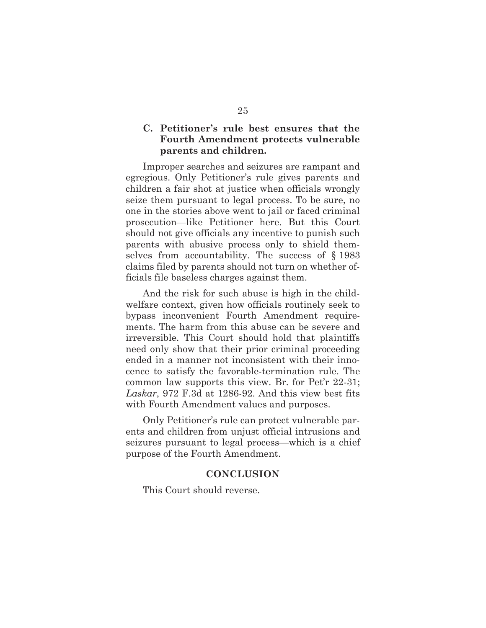## **C. Petitioner's rule best ensures that the Fourth Amendment protects vulnerable parents and children.**

 Improper searches and seizures are rampant and egregious. Only Petitioner's rule gives parents and children a fair shot at justice when officials wrongly seize them pursuant to legal process. To be sure, no one in the stories above went to jail or faced criminal prosecution—like Petitioner here. But this Court should not give officials any incentive to punish such parents with abusive process only to shield themselves from accountability. The success of § 1983 claims filed by parents should not turn on whether officials file baseless charges against them.

 And the risk for such abuse is high in the childwelfare context, given how officials routinely seek to bypass inconvenient Fourth Amendment requirements. The harm from this abuse can be severe and irreversible. This Court should hold that plaintiffs need only show that their prior criminal proceeding ended in a manner not inconsistent with their innocence to satisfy the favorable-termination rule. The common law supports this view. Br. for Pet'r 22-31; *Laskar*, 972 F.3d at 1286-92. And this view best fits with Fourth Amendment values and purposes.

 Only Petitioner's rule can protect vulnerable parents and children from unjust official intrusions and seizures pursuant to legal process—which is a chief purpose of the Fourth Amendment.

#### **CONCLUSION**

This Court should reverse.